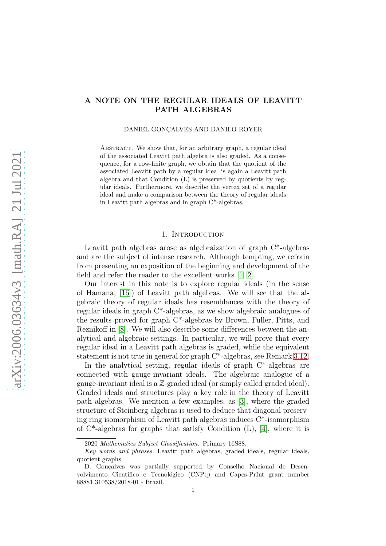# A NOTE ON THE REGULAR IDEALS OF LEAVITT PATH ALGEBRAS

DANIEL GONÇALVES AND DANILO ROYER

ABSTRACT. We show that, for an arbitrary graph, a regular ideal of the associated Leavitt path algebra is also graded. As a consequence, for a row-finite graph, we obtain that the quotient of the associated Leavitt path by a regular ideal is again a Leavitt path algebra and that Condition (L) is preserved by quotients by regular ideals. Furthermore, we describe the vertex set of a regular ideal and make a comparison between the theory of regular ideals in Leavitt path algebras and in graph C\*-algebras.

#### 1. INTRODUCTION

Leavitt path algebras arose as algebraization of graph C\*-algebras and are the subject of intense research. Although tempting, we refrain from presenting an exposition of the beginning and development of the field and refer the reader to the excellent works [\[1,](#page-9-0) [2\]](#page-9-1).

Our interest in this note is to explore regular ideals (in the sense of Hamana, [\[16\]](#page-10-0)) of Leavitt path algebras. We will see that the algebraic theory of regular ideals has resemblances with the theory of regular ideals in graph C\*-algebras, as we show algebraic analogues of the results proved for graph C\*-algebras by Brown, Fuller, Pitts, and Reznikoff in [\[8\]](#page-10-1). We will also describe some differences between the analytical and algebraic settings. In particular, we will prove that every regular ideal in a Leavitt path algebras is graded, while the equivalent statement is not true in general for graph C\*-algebras, see Remark [3.12.](#page-8-0)

In the analytical setting, regular ideals of graph C\*-algebras are connected with gauge-invariant ideals. The algebraic analogue of a gauge-invariant ideal is a Z-graded ideal (or simply called graded ideal). Graded ideals and structures play a key role in the theory of Leavitt path algebras. We mention a few examples, as [\[3\]](#page-9-2), where the graded structure of Steinberg algebras is used to deduce that diagonal preserving ring isomorphism of Leavitt path algebras induces C\*-isomorphism of  $C^*$ -algebras for graphs that satisfy Condition  $(L)$ , [\[4\]](#page-9-3), where it is

<sup>2020</sup> *Mathematics Subject Classification.* Primary 16S88.

*Key words and phrases.* Leavitt path algebras, graded ideals, regular ideals, quotient graphs.

D. Gonçalves was partially supported by Conselho Nacional de Desenvolvimento Científico e Tecnológico (CNPq) and Capes-PrInt grant number 88881.310538/2018-01 - Brazil.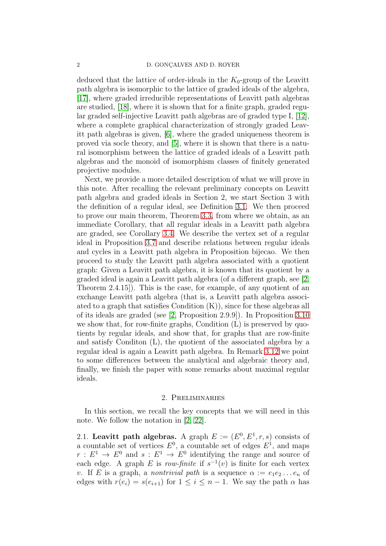deduced that the lattice of order-ideals in the  $K_0$ -group of the Leavitt path algebra is isomorphic to the lattice of graded ideals of the algebra, [\[17\]](#page-10-2), where graded irreducible representations of Leavitt path algebras are studied, [\[18\]](#page-10-3), where it is shown that for a finite graph, graded regular graded self-injective Leavitt path algebras are of graded type I, [\[12\]](#page-10-4), where a complete graphical characterization of strongly graded Leavitt path algebras is given, [\[6\]](#page-10-5), where the graded uniqueness theorem is proved via socle theory, and [\[5\]](#page-9-4), where it is shown that there is a natural isomorphism between the lattice of graded ideals of a Leavitt path algebras and the monoid of isomorphism classes of finitely generated projective modules.

Next, we provide a more detailed description of what we will prove in this note. After recalling the relevant preliminary concepts on Leavitt path algebra and graded ideals in Section 2, we start Section 3 with the definition of a regular ideal, see Definition [3.1.](#page-4-0) We then proceed to prove our main theorem, Theorem [3.3,](#page-5-0) from where we obtain, as an immediate Corollary, that all regular ideals in a Leavitt path algebra are graded, see Corollary [3.4.](#page-6-0) We describe the vertex set of a regular ideal in Proposition [3.7](#page-6-1) and describe relations between regular ideals and cycles in a Leavitt path algebra in Proposition bijecao. We then proceed to study the Leavitt path algebra associated with a quotient graph: Given a Leavitt path algebra, it is known that its quotient by a graded ideal is again a Leavitt path algebra (of a different graph, see [\[2,](#page-9-1) Theorem 2.4.15]). This is the case, for example, of any quotient of an exchange Leavitt path algebra (that is, a Leavitt path algebra associated to a graph that satisfies Condition (K)), since for these algebras all of its ideals are graded (see [\[2,](#page-9-1) Proposition 2.9.9]). In Proposition [3.10](#page-8-1) we show that, for row-finite graphs, Condition (L) is preserved by quotients by regular ideals, and show that, for graphs that are row-finite and satisfy Conditon (L), the quotient of the associated algebra by a regular ideal is again a Leavitt path algebra. In Remark [3.12](#page-8-0) we point to some differences between the analytical and algebraic theory and, finally, we finish the paper with some remarks about maximal regular ideals.

#### 2. Preliminaries

In this section, we recall the key concepts that we will need in this note. We follow the notation in [\[2,](#page-9-1) [22\]](#page-10-6).

2.1. Leavitt path algebras. A graph  $E := (E^0, E^1, r, s)$  consists of a countable set of vertices  $E^0$ , a countable set of edges  $E^1$ , and maps  $r: E<sup>1</sup> \to E<sup>0</sup>$  and  $s: E<sup>1</sup> \to E<sup>0</sup>$  identifying the range and source of each edge. A graph E is *row-finite* if  $s^{-1}(v)$  is finite for each vertex v. If E is a graph, a *nontrivial path* is a sequence  $\alpha := e_1 e_2 \dots e_n$  of edges with  $r(e_i) = s(e_{i+1})$  for  $1 \leq i \leq n-1$ . We say the path  $\alpha$  has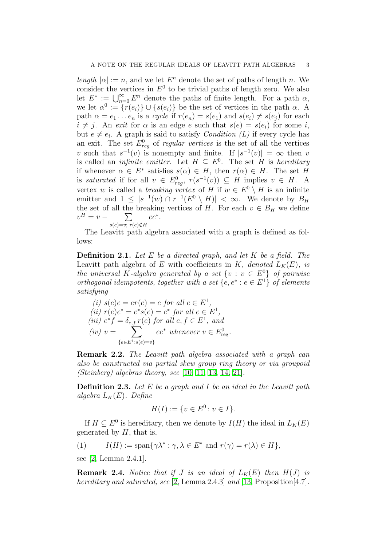*length*  $|\alpha| := n$ , and we let  $E^n$  denote the set of paths of length n. We consider the vertices in  $E^0$  to be trivial paths of length zero. We also let  $E^* := \bigcup_{n=0}^{\infty} E^n$  denote the paths of finite length. For a path  $\alpha$ , we let  $\alpha^0 := \{r(e_i)\} \cup \{s(e_i)\}\$ be the set of vertices in the path  $\alpha$ . A path  $\alpha = e_1 \dots e_n$  is a *cycle* if  $r(e_n) = s(e_1)$  and  $s(e_i) \neq s(e_i)$  for each  $i \neq j$ . An *exit* for  $\alpha$  is an edge e such that  $s(e) = s(e_i)$  for some i, but  $e \neq e_i$ . A graph is said to satisfy *Condition (L)* if every cycle has an exit. The set  $E_{reg}^0$  of *regular vertices* is the set of all the vertices v such that  $s^{-1}(v)$  is nonempty and finite. If  $|s^{-1}(v)| = \infty$  then v is called an *infinite emitter*. Let  $H \subseteq E^0$ . The set H is *hereditary* if whenever  $\alpha \in E^*$  satisfies  $s(\alpha) \in H$ , then  $r(\alpha) \in H$ . The set H is *saturated* if for all  $v \in E_{reg}^0$ ,  $r(s^{-1}(v)) \subseteq H$  implies  $v \in H$ . A vertex w is called a *breaking vertex* of H if  $w \in E^0 \setminus H$  is an infinite emitter and  $1 \leq |s^{-1}(w) \cap r^{-1}(E^0 \setminus H)| < \infty$ . We denote by  $B_H$ the set of all the breaking vertices of H. For each  $v \in B_H$  we define  $v^H = v - \sum$  $s(e)=v; r(e)\notin H$ ee<sup>∗</sup> .

The Leavitt path algebra associated with a graph is defined as follows:

Definition 2.1. *Let* E *be a directed graph, and let* K *be a field. The* Leavitt path algebra of E with coefficients in K, denoted  $L_K(E)$ , is *the universal K-algebra generated by a set*  $\{v : v \in E^0\}$  *of pairwise orthogonal idempotents, together with a set*  $\{e, e^* : e \in E^1\}$  *of elements satisfying*

(i) 
$$
s(e)e = er(e) = e
$$
 for all  $e \in E^1$ ,  
\n(ii)  $r(e)e^* = e^*s(e) = e^*$  for all  $e \in E^1$ ,  
\n(iii)  $e^*f = \delta_{e,f} r(e)$  for all  $e, f \in E^1$ , and  
\n(iv)  $v = \sum_{\{e \in E^1 : s(e) = v\}} e^*$  whenever  $v \in E^0_{reg}$ .

Remark 2.2. *The Leavitt path algebra associated with a graph can also be constructed via partial skew group ring theory or via groupoid (Steinberg) algebras theory, see* [\[10,](#page-10-7) [11,](#page-10-8) [13,](#page-10-9) [14,](#page-10-10) [21\]](#page-10-11)*.*

Definition 2.3. *Let* E *be a graph and* I *be an ideal in the Leavitt path*  $algebra \, L_K(E)$ . Define

$$
H(I) := \{ v \in E^0 \colon v \in I \}.
$$

If  $H \subseteq E^0$  is hereditary, then we denote by  $I(H)$  the ideal in  $L_K(E)$ generated by  $H$ , that is,

<span id="page-2-1"></span>(1) 
$$
I(H) := \text{span}\{\gamma\lambda^* : \gamma, \lambda \in E^* \text{ and } r(\gamma) = r(\lambda) \in H\},
$$

see [\[2,](#page-9-1) Lemma 2.4.1].

<span id="page-2-0"></span>**Remark 2.4.** *Notice that if J is an ideal of*  $L_K(E)$  *then*  $H(J)$  *is hereditary and saturated, see* [\[2,](#page-9-1) Lemma 2.4.3] *and* [\[13,](#page-10-9) Proposition[4.7]*.*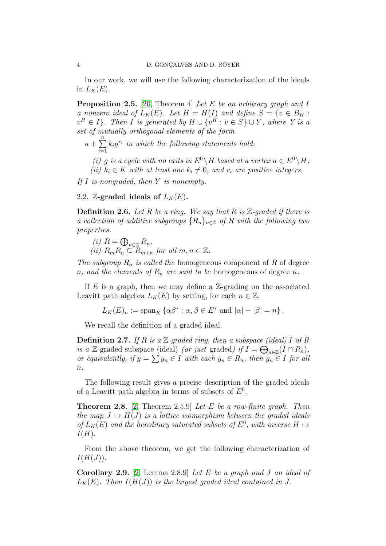In our work, we will use the following characterization of the ideals in  $L_K(E)$ .

<span id="page-3-0"></span>Proposition 2.5. [\[20,](#page-10-12) Theorem 4] *Let* E *be an arbitrary graph and* I *a* nonzero ideal of  $L_K(E)$ . Let  $H = H(I)$  and define  $S = \{v \in B_H :$  $v^H ∈ I$ }. Then I is generated by  $H ∪ \{v^H : v ∈ S\} ∪ Y$ *, where* Y is a *set of mutually orthogonal elements of the form*

 $u + \sum_{n=1}^{n}$  $i=1$  $k_i g^{r_i}$  in which the following statements hold:

*(i)* q *is a cycle with no exits in*  $E^0 \setminus H$  *based at a vertex*  $u \in E^0 \setminus H$ ; *(ii)*  $k_i \in K$  *with at least one*  $k_i \neq 0$ *, and*  $r_i$  *are positive integers.* 

*If* I *is nongraded, then* Y *is nonempty.*

2.2. Z-graded ideals of  $L_K(E)$ .

Definition 2.6. *Let* R *be a ring. We say that* R *is* Z*-graded if there is a collection of additive subgroups*  ${R_n}_{n \in \mathbb{Z}}$  *of* R *with the following two properties.*

(i) 
$$
R = \bigoplus_{n \in \mathbb{Z}} R_n
$$
.  
(ii)  $R_m R_n \subseteq R_{m+n}$  for all  $m, n \in \mathbb{Z}$ .

*The subgroup*  $R_n$  *is called the* homogeneous component of R of degree

*n*, and the elements of  $R_n$  are said to be homogeneous of degree n.

If E is a graph, then we may define a  $\mathbb{Z}$ -grading on the associated Leavitt path algebra  $L_K(E)$  by setting, for each  $n \in \mathbb{Z}$ ,

$$
L_K(E)_n := \mathrm{span}_K \left\{ \alpha \beta^* : \alpha, \beta \in E^* \text{ and } |\alpha| - |\beta| = n \right\}.
$$

We recall the definition of a graded ideal.

Definition 2.7. *If* R *is a* Z*-graded ring, then a subspace (ideal)* I *of* R *is a* Z-graded subspace (ideal) *(or just* graded*) if*  $I = \bigoplus_{n \in \mathbb{Z}} (I \cap R_n)$ , *or equivalently, if*  $y = \sum y_n \in I$  *with each*  $y_n \in R_n$ *, then*  $y_n \in I$  *for all* n*.*

The following result gives a precise description of the graded ideals of a Leavitt path algebra in terms of subsets of  $E^0$ .

<span id="page-3-1"></span>Theorem 2.8. [\[2,](#page-9-1) Theorem 2.5.9] *Let* E *be a row-finite graph. Then the map*  $J \mapsto H(J)$  *is a lattice isomorphism between the graded ideals of*  $L_K(E)$  and the hereditary saturated subsets of  $E^0$ , with inverse  $H \mapsto$  $I(H)$ .

From the above theorem, we get the following characterization of  $I(H(J)).$ 

Corollary 2.9. [\[2,](#page-9-1) Lemma 2.8.9] *Let* E *be a graph and* J *an ideal of*  $L_K(E)$ . Then  $I(H(J))$  is the largest graded ideal contained in J.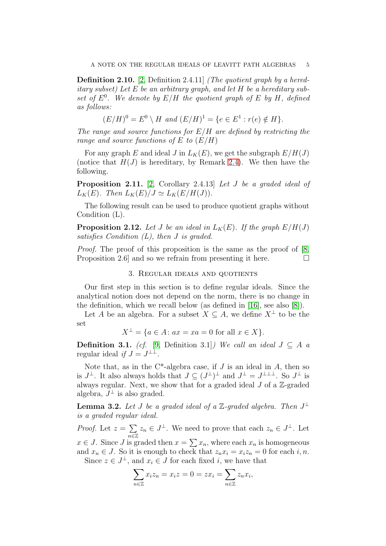Definition 2.10. [\[2,](#page-9-1) Definition 2.4.11] *(The quotient graph by a hereditary subset) Let* E *be an arbitrary graph, and let* H *be a hereditary sub*set of  $E^0$ . We denote by  $E/H$  the quotient graph of E by H, defined *as follows:*

$$
(E/H)^0 = E^0 \setminus H \text{ and } (E/H)^1 = \{ e \in E^1 : r(e) \notin H \}.
$$

*The range and source functions for* E/H *are defined by restricting the range and source functions of* E *to* (E/H)

For any graph E and ideal J in  $L_K(E)$ , we get the subgraph  $E/H(J)$ (notice that  $H(J)$  is hereditary, by Remark [2.4\)](#page-2-0). We then have the following.

<span id="page-4-2"></span>Proposition 2.11. [\[2,](#page-9-1) Corollary 2.4.13] *Let* J *be a graded ideal of*  $L_K(E)$ *. Then*  $L_K(E)/J \simeq L_K(E/H(J))$ *.* 

The following result can be used to produce quotient graphs without Condition (L).

**Proposition 2.12.** Let *J* be an ideal in  $L_K(E)$ . If the graph  $E/H(J)$ *satisfies Condition (L), then* J *is graded.*

*Proof.* The proof of this proposition is the same as the proof of [\[8,](#page-10-1) Proposition 2.6 and so we refrain from presenting it here.  $\Box$ 

### 3. Regular ideals and quotients

Our first step in this section is to define regular ideals. Since the analytical notion does not depend on the norm, there is no change in the definition, which we recall below (as defined in [\[16\]](#page-10-0), see also [\[8\]](#page-10-1)).

Let A be an algebra. For a subset  $X \subseteq A$ , we define  $X^{\perp}$  to be the set

$$
X^{\perp} = \{ a \in A : ax = xa = 0 \text{ for all } x \in X \}.
$$

<span id="page-4-0"></span>**Definition 3.1.** *(cf.* [\[9,](#page-10-13) Definition 3.1]*)* We call an ideal  $J \subseteq A$  a regular ideal *if*  $J = J^{\perp \perp}$ .

Note that, as in the  $C^*$ -algebra case, if J is an ideal in A, then so is  $J^{\perp}$ . It also always holds that  $J \subseteq (J^{\perp})^{\perp}$  and  $J^{\perp} = J^{\perp \perp \perp}$ . So  $J^{\perp}$  is always regular. Next, we show that for a graded ideal  $J$  of a  $\mathbb{Z}$ -graded algebra,  $J^{\perp}$  is also graded.

<span id="page-4-1"></span>**Lemma 3.2.** Let J be a graded ideal of a  $\mathbb{Z}$ -graded algebra. Then  $J^{\perp}$ *is a graded regular ideal.*

*Proof.* Let  $z = \sum$  $\overline{n\varepsilon}\mathbb{Z}$  $z_n \in J^{\perp}$ . We need to prove that each  $z_n \in J^{\perp}$ . Let  $x \in J$ . Since J is graded then  $x = \sum x_n$ , where each  $x_n$  is homogeneous and  $x_n \in J$ . So it is enough to check that  $z_n x_i = x_i z_n = 0$  for each i, n. Since  $z \in J^{\perp}$ , and  $x_i \in J$  for each fixed *i*, we have that

$$
\sum_{n\in\mathbb{Z}} x_i z_n = x_i z = 0 = zx_i = \sum_{n\in\mathbb{Z}} z_n x_i,
$$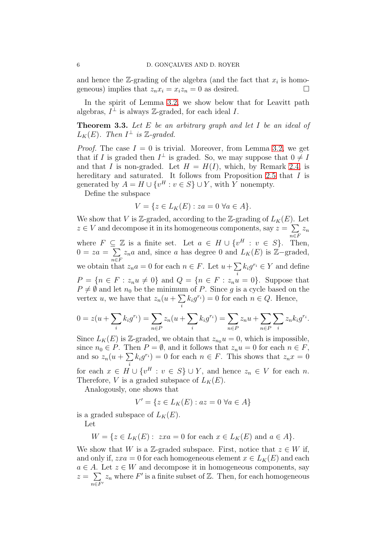and hence the  $\mathbb{Z}$ -grading of the algebra (and the fact that  $x_i$  is homogeneous) implies that  $z_n x_i = x_i z_n = 0$  as desired.

In the spirit of Lemma [3.2,](#page-4-1) we show below that for Leavitt path algebras,  $I^{\perp}$  is always Z-graded, for each ideal I.

<span id="page-5-0"></span>Theorem 3.3. *Let* E *be an arbitrary graph and let* I *be an ideal of*  $L_K(E)$ . Then  $I^{\perp}$  is  $\mathbb{Z}\text{-graded.}$ 

*Proof.* The case  $I = 0$  is trivial. Moreover, from Lemma [3.2,](#page-4-1) we get that if I is graded then  $I^{\perp}$  is graded. So, we may suppose that  $0 \neq I$ and that I is non-graded. Let  $H = H(I)$ , which, by Remark [2.4,](#page-2-0) is hereditary and saturated. It follows from Proposition [2.5](#page-3-0) that I is generated by  $A = H \cup \{v^H : v \in S\} \cup Y$ , with Y nonempty.

Define the subspace

$$
V = \{ z \in L_K(E) : za = 0 \,\,\forall a \in A \}.
$$

We show that V is Z-graded, according to the Z-grading of  $L_K(E)$ . Let  $z \in V$  and decompose it in its homogeneous components, say  $z = \sum z_n$ where  $F \subseteq \mathbb{Z}$  is a finite set. Let  $a \in H \cup \{v^H : v \in S\}$ . Then,  $0=za=\sum$ n∈F  $z_n a$  and, since a has degree 0 and  $L_K(E)$  is  $\mathbb{Z}-$ graded, we obtain that  $z_n a = 0$  for each  $n \in F$ . Let  $u + \sum k_i g^{r_i} \in Y$  and define i  $P = \{n \in F : z_n u \neq 0\}$  and  $Q = \{n \in F : z_n u = 0\}$ . Suppose that  $P \neq \emptyset$  and let  $n_0$  be the minimum of P. Since g is a cycle based on the vertex u, we have that  $z_n(u + \sum$ i  $k_i g^{r_i}$  = 0 for each  $n \in Q$ . Hence,

$$
0 = z(u + \sum_{i} k_i g^{r_i}) = \sum_{n \in P} z_n(u + \sum_{i} k_i g^{r_i}) = \sum_{n \in P} z_n u + \sum_{n \in P} \sum_{i} z_n k_i g^{r_i}.
$$

Since  $L_K(E)$  is Z-graded, we obtain that  $z_{n_0}u = 0$ , which is impossible, since  $n_0 \in P$ . Then  $P = \emptyset$ , and it follows that  $z_n u = 0$  for each  $n \in F$ , and so  $z_n(u+\sum$ i  $k_i g^{r_i} = 0$  for each  $n \in F$ . This shows that  $z_n x = 0$ for each  $x \in H \cup \{v^H : v \in S\} \cup Y$ , and hence  $z_n \in V$  for each n. Therefore, V is a graded subspace of  $L_K(E)$ .

Analogously, one shows that

$$
V' = \{ z \in L_K(E) : az = 0 \,\,\forall a \in A \}
$$

is a graded subspace of  $L_K(E)$ .

Let

$$
W = \{ z \in L_K(E) : \ zxa = 0 \text{ for each } x \in L_K(E) \text{ and } a \in A \}.
$$

We show that W is a Z-graded subspace. First, notice that  $z \in W$  if, and only if,  $zxa = 0$  for each homogeneous element  $x \in L_K(E)$  and each  $a \in A$ . Let  $z \in W$  and decompose it in homogeneous components, say  $z = \sum$  $\overline{n \in F'}$  $z_n$  where  $F'$  is a finite subset of  $\mathbb{Z}$ . Then, for each homogeneous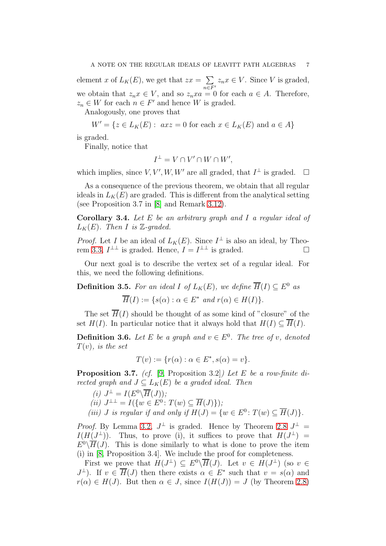element x of  $L_K(E)$ , we get that  $zx = \sum$  $\overline{n \in F'}$  $z_n x \in V$ . Since V is graded, we obtain that  $z_n x \in V$ , and so  $z_n x a = 0$  for each  $a \in A$ . Therefore,  $z_n \in W$  for each  $n \in F'$  and hence W is graded.

Analogously, one proves that

$$
W' = \{ z \in L_K(E) : axz = 0 \text{ for each } x \in L_K(E) \text{ and } a \in A \}
$$

is graded.

Finally, notice that

$$
I^{\perp} = V \cap V' \cap W \cap W',
$$

which implies, since  $V, V', W, W'$  are all graded, that  $I^{\perp}$  is graded.  $\square$ 

As a consequence of the previous theorem, we obtain that all regular ideals in  $L_K(E)$  are graded. This is different from the analytical setting (see Proposition 3.7 in [\[8\]](#page-10-1) and Remark [3.12\)](#page-8-0).

<span id="page-6-0"></span>Corollary 3.4. *Let* E *be an arbitrary graph and* I *a regular ideal of*  $L_K(E)$ . Then I is  $\mathbb{Z}$ -graded.

*Proof.* Let I be an ideal of  $L_K(E)$ . Since  $I^{\perp}$  is also an ideal, by Theo-rem [3.3,](#page-5-0)  $I^{\perp \perp}$  is graded. Hence,  $I = I^{\perp \perp}$  is graded.

Our next goal is to describe the vertex set of a regular ideal. For this, we need the following definitions.

**Definition 3.5.** For an ideal I of  $L_K(E)$ , we define  $\overline{H}(I) \subseteq E^0$  as  $\overline{H}(I) := \{s(\alpha) : \alpha \in E^* \text{ and } r(\alpha) \in H(I)\}.$ 

The set  $\overline{H}(I)$  should be thought of as some kind of "closure" of the set  $H(I)$ . In particular notice that it always hold that  $H(I) \subseteq \overline{H}(I)$ .

**Definition 3.6.** Let E be a graph and  $v \in E^0$ . The tree of v, denoted T(v)*, is the set*

 $T(v) := \{r(\alpha) : \alpha \in E^*, s(\alpha) = v\}.$ 

<span id="page-6-1"></span>Proposition 3.7. *(cf.* [\[9,](#page-10-13) Proposition 3.2]*) Let* E *be a row-finite directed graph and*  $J \subseteq L_K(E)$  *be a graded ideal. Then* 

(i) 
$$
J^{\perp} = I(E^{0} \backslash \overline{H}(J));
$$
  
\n(ii)  $J^{\perp \perp} = I(\{w \in E^{0} : T(w) \subseteq \overline{H}(J)\});$   
\n(iii) J is regular if and only if  $H(J) = \{w \in E^{0} : T(w) \subseteq \overline{H}(J)\}.$ 

*Proof.* By Lemma [3.2,](#page-4-1)  $J^{\perp}$  is graded. Hence by Theorem [2.8](#page-3-1)  $J^{\perp}$  =  $I(H(J^{\perp}))$ . Thus, to prove (i), it suffices to prove that  $H(J^{\perp}) =$  $E^0\backslash\overline{H}(J)$ . This is done similarly to what is done to prove the item (i) in [\[8,](#page-10-1) Proposition 3.4]. We include the proof for completeness.

First we prove that  $H(J^{\perp}) \subseteq E^0 \backslash \overline{H}(J)$ . Let  $v \in H(J^{\perp})$  (so  $v \in$  $J^{\perp}$ ). If  $v \in \overline{H}(J)$  then there exists  $\alpha \in E^*$  such that  $v = s(\alpha)$  and  $r(\alpha) \in H(J)$ . But then  $\alpha \in J$ , since  $I(H(J)) = J$  (by Theorem [2.8\)](#page-3-1)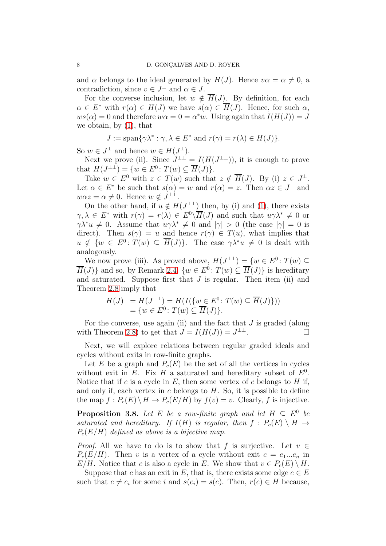and  $\alpha$  belongs to the ideal generated by  $H(J)$ . Hence  $v\alpha = \alpha \neq 0$ , a contradiction, since  $v \in J^{\perp}$  and  $\alpha \in J$ .

For the converse inclusion, let  $w \notin \overline{H}(J)$ . By definition, for each  $\alpha \in E^*$  with  $r(\alpha) \in H(J)$  we have  $s(\alpha) \in \overline{H}(J)$ . Hence, for such  $\alpha$ ,  $ws(\alpha) = 0$  and therefore  $w\alpha = 0 = \alpha^*w$ . Using again that  $I(H(J)) = J$ we obtain, by [\(1\)](#page-2-1), that

$$
J := \text{span}\{\gamma \lambda^* : \gamma, \lambda \in E^* \text{ and } r(\gamma) = r(\lambda) \in H(J)\}.
$$

So  $w \in J^{\perp}$  and hence  $w \in H(J^{\perp})$ .

Next we prove (ii). Since  $J^{\perp \perp} = I(H(J^{\perp \perp}))$ , it is enough to prove that  $H(J^{\perp \perp}) = \{w \in E^0 : T(w) \subseteq \overline{H}(J)\}.$ 

Take  $w \in E^0$  with  $z \in T(w)$  such that  $z \notin \overline{H}(J)$ . By (i)  $z \in J^{\perp}$ . Let  $\alpha \in E^*$  be such that  $s(\alpha) = w$  and  $r(\alpha) = z$ . Then  $\alpha z \in J^{\perp}$  and  $w\alpha z = \alpha \neq 0$ . Hence  $w \notin J^{\perp \perp}$ .

On the other hand, if  $u \notin H(J^{\perp \perp})$  then, by (i) and [\(1\)](#page-2-1), there exists  $\gamma, \lambda \in E^*$  with  $r(\gamma) = r(\lambda) \in E^0 \backslash \overline{H}(J)$  and such that  $u \gamma \lambda^* \neq 0$  or  $\gamma \lambda^* u \neq 0$ . Assume that  $u \gamma \lambda^* \neq 0$  and  $|\gamma| > 0$  (the case  $|\gamma| = 0$  is direct). Then  $s(\gamma) = u$  and hence  $r(\gamma) \in T(u)$ , what implies that  $u \notin \{w \in E^0 : T(w) \subseteq \overline{H}(J)\}.$  The case  $\gamma \lambda^* u \neq 0$  is dealt with analogously.

We now prove (iii). As proved above,  $H(J^{\perp\perp}) = \{w \in E^0 : T(w) \subseteq$  $\overline{H}(J)$  and so, by Remark [2.4,](#page-2-0)  $\{w \in E^0 : T(w) \subseteq \overline{H}(J)\}\$ is hereditary and saturated. Suppose first that  $J$  is regular. Then item (ii) and Theorem [2.8](#page-3-1) imply that

$$
H(J) = H(J^{\perp \perp}) = H(I(\{w \in E^0 : T(w) \subseteq \overline{H}(J)\}))
$$
  
=  $\{w \in E^0 : T(w) \subseteq \overline{H}(J)\}.$ 

For the converse, use again (ii) and the fact that  $J$  is graded (along with Theorem [2.8\)](#page-3-1) to get that  $J = I(H(J)) = J^{\perp \perp}$ .

Next, we will explore relations between regular graded ideals and cycles without exits in row-finite graphs.

Let E be a graph and  $P_c(E)$  be the set of all the vertices in cycles without exit in E. Fix H a saturated and hereditary subset of  $E^0$ . Notice that if c is a cycle in  $E$ , then some vertex of c belongs to  $H$  if, and only if, each vertex in  $c$  belongs to  $H$ . So, it is possible to define the map  $f: P_c(E) \setminus H \to P_c(E/H)$  by  $f(v) = v$ . Clearly, f is injective.

**Proposition 3.8.** Let E be a row-finite graph and let  $H \subseteq E^0$  be *saturated and hereditary.* If  $I(H)$  *is regular, then*  $f : P_c(E) \setminus H \rightarrow$ Pc(E/H) *defined as above is a bijective map.*

*Proof.* All we have to do is to show that f is surjective. Let  $v \in$  $P_c(E/H)$ . Then v is a vertex of a cycle without exit  $c = e_1...e_n$  in  $E/H$ . Notice that c is also a cycle in E. We show that  $v \in P_c(E) \setminus H$ .

Suppose that c has an exit in E, that is, there exists some edge  $e \in E$ such that  $e \neq e_i$  for some i and  $s(e_i) = s(e)$ . Then,  $r(e) \in H$  because,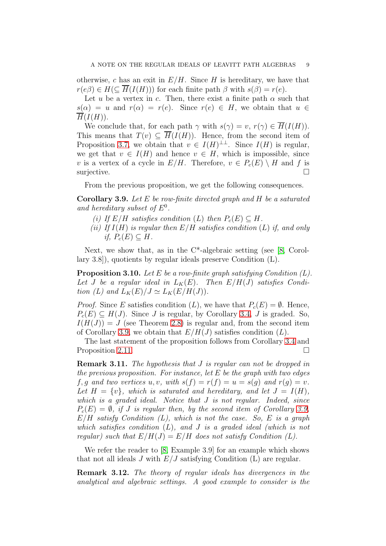otherwise, c has an exit in  $E/H$ . Since H is hereditary, we have that  $r(e\beta) \in H(\subseteq \overline{H}(I(H)))$  for each finite path  $\beta$  with  $s(\beta) = r(e)$ .

Let u be a vertex in c. Then, there exist a finite path  $\alpha$  such that  $s(\alpha) = u$  and  $r(\alpha) = r(e)$ . Since  $r(e) \in H$ , we obtain that  $u \in$  $\overline{H}(I(H)).$ 

We conclude that, for each path  $\gamma$  with  $s(\gamma) = v$ ,  $r(\gamma) \in \overline{H}(I(H))$ . This means that  $T(v) \subseteq \overline{H}(I(H))$ . Hence, from the second item of Proposition [3.7,](#page-6-1) we obtain that  $v \in I(H)^{\perp\perp}$ . Since  $I(H)$  is regular, we get that  $v \in I(H)$  and hence  $v \in H$ , which is impossible, since v is a vertex of a cycle in  $E/H$ . Therefore,  $v \in P_c(E) \setminus H$  and f is surjective.  $\Box$ 

From the previous proposition, we get the following consequences.

<span id="page-8-2"></span>Corollary 3.9. *Let* E *be row-finite directed graph and* H *be a saturated and hereditary subset of* E<sup>0</sup> *.*

- *(i)* If  $E/H$  *satisfies condition*  $(L)$  *then*  $P_c(E) \subseteq H$ *.*
- *(ii) If* I(H) *is regular then* E/H *satisfies condition* (L) *if, and only if,*  $P_c(E) \subseteq H$ .

Next, we show that, as in the  $C^*$ -algebraic setting (see [\[8,](#page-10-1) Corollary 3.8]), quotients by regular ideals preserve Condition (L).

<span id="page-8-1"></span>Proposition 3.10. *Let* E *be a row-finite graph satisfying Condition (L).* Let *J* be a regular ideal in  $L_K(E)$ . Then  $E/H(J)$  satisfies Condi*tion (L) and*  $L_K(E)/J \simeq L_K(E/H(J)).$ 

*Proof.* Since E satisfies condition  $(L)$ , we have that  $P_c(E) = \emptyset$ . Hence,  $P_c(E) \subset H(J)$ . Since J is regular, by Corollary [3.4,](#page-6-0) J is graded. So,  $I(H(J)) = J$  (see Theorem [2.8\)](#page-3-1) is regular and, from the second item of Corollary [3.9,](#page-8-2) we obtain that  $E/H(J)$  satisfies condition  $(L)$ .

The last statement of the proposition follows from Corollary [3.4](#page-6-0) and Proposition [2.11.](#page-4-2)

Remark 3.11. *The hypothesis that* J *is regular can not be dropped in the previous proposition. For instance, let* E *be the graph with two edges* f, g and two vertices u, v, with  $s(f) = r(f) = u = s(g)$  and  $r(g) = v$ . Let  $H = \{v\}$ , which is saturated and hereditary, and let  $J = I(H)$ , *which is a graded ideal. Notice that* J *is not regular. Indeed, since*  $P_c(E) = \emptyset$ , if J is regular then, by the second item of Corollary [3.9,](#page-8-2) E/H *satisfy Condition (L), which is not the case. So,* E *is a graph which satisfies condition* (L)*, and* J *is a graded ideal (which is not regular)* such that  $E/H(J) = E/H$  does not satisfy Condition (L).

We refer the reader to [\[8,](#page-10-1) Example 3.9] for an example which shows that not all ideals  $J$  with  $E/J$  satisfying Condition (L) are regular.

<span id="page-8-0"></span>Remark 3.12. *The theory of regular ideals has divergences in the analytical and algebraic settings. A good example to consider is the*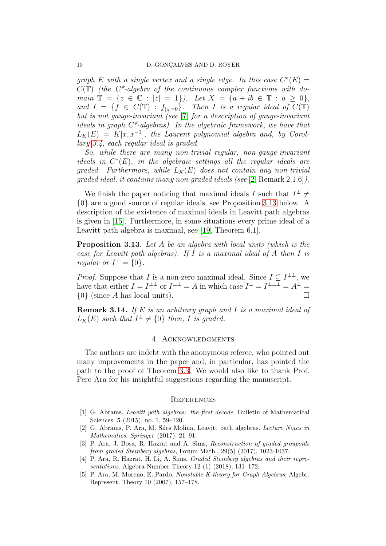*graph*  $E$  *with* a single vertex and a single edge. In this case  $C^*(E)$  = C(T) *(the C\*-algebra of the continuous complex functions with domain*  $\mathbb{T} = \{z \in \mathbb{C} : |z| = 1\}$ *). Let*  $X = \{a + ib \in \mathbb{T} : a \ge 0\}$ , and  $I = \{\hat{f} \in C(\mathbb{T}) : |f_{|X=0}\}\)$ . Then I is a regular ideal of  $C(\mathbb{T})$ . *but is not gauge-invariant (see* [\[7\]](#page-10-14) *for a description of gauge-invariant ideals in graph C\*-algebras). In the algebraic framework, we have that*  $L_K(E) = K[x, x^{-1}]$ , the Laurent polynomial algebra and, by Corol*lary [3.4,](#page-6-0) each regular ideal is graded.*

*So, while there are many non-trivial regular, non-gauge-invariant ideals in*  $C^*(E)$ *, in the algebraic settings all the regular ideals are graded.* Furthermore, while  $L_K(E)$  *does not contain any non-trivial graded ideal, it contains many non-graded ideals (see* [\[2,](#page-9-1) Remark 2.1.6]*).*

We finish the paper noticing that maximal ideals I such that  $I^{\perp} \neq$ {0} are a good source of regular ideals, see Proposition [3.13](#page-9-5) below. A description of the existence of maximal ideals in Leavitt path algebras is given in [\[15\]](#page-10-15). Furthermore, in some situations every prime ideal of a Leavitt path algebra is maximal, see [\[19,](#page-10-16) Theorem 6.1].

<span id="page-9-5"></span>Proposition 3.13. *Let* A *be an algebra with local units (which is the case for Leavitt path algebras). If* I *is a maximal ideal of* A *then* I *is regular or*  $I^{\perp} = \{0\}.$ 

*Proof.* Suppose that I is a non-zero maximal ideal. Since  $I \subseteq I^{\perp\perp}$ , we have that either  $I = I^{\perp \perp}$  or  $I^{\perp \perp} = A$  in which case  $I^{\perp} = I^{\perp \perp \perp} = A^{\perp} =$  $\{0\}$  (since A has local units).

Remark 3.14. *If* E *is an arbitrary graph and* I *is a maximal ideal of*  $L_K(E)$  such that  $I^{\perp} \neq \{0\}$  then, I is graded.

## 4. Acknowledgments

The authors are indebt with the anonymous referee, who pointed out many improvements in the paper and, in particular, has pointed the path to the proof of Theorem [3.3.](#page-5-0) We would also like to thank Prof. Pere Ara for his insightful suggestions regarding the manuscript.

#### **REFERENCES**

- <span id="page-9-0"></span>[1] G. Abrams, *Leavitt path algebras: the first decade*. Bulletin of Mathematical Sciences. 5 (2015), no. 1, 59–120.
- <span id="page-9-1"></span>[2] G. Abrams, P. Ara, M. Siles Molina, Leavitt path algebras. *Lecture Notes in Mathematics. Springer* (2017). 21–91.
- <span id="page-9-2"></span>[3] P. Ara, J. Bosa, R. Hazrat and A. Sims, *Reconstruction of graded groupoids from graded Steinberg algebras*, Forum Math., 29(5) (2017), 1023-1037.
- <span id="page-9-3"></span>[4] P. Ara, R. Hazrat, H. Li, A. Sims, *Graded Steinberg algebras and their representations*. Algebra Number Theory 12 (1) (2018), 131–172.
- <span id="page-9-4"></span>[5] P. Ara, M. Moreno, E. Pardo, *Nonstable K-theory for Graph Algebras*, Algebr. Represent. Theory 10 (2007), 157–178.